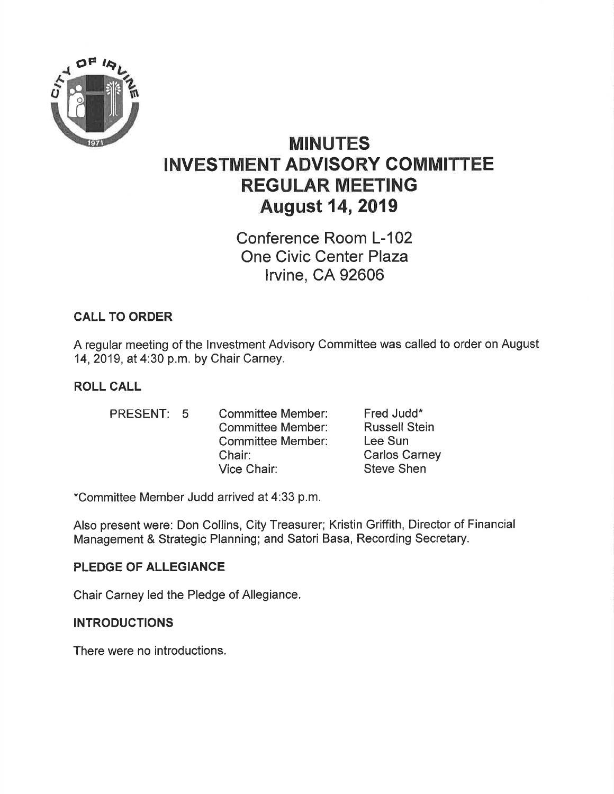

# MINUTES INVESTMENT ADVISORY GOMMITTEE REGULAR MEETING August 14,2019

Conference Room L-102 One Civic Center Plaza lrvine, CA 92606

## CALL TO ORDER

A regular meeting of the lnvestment Advisory Committee was called to order on August 14,2019, at 4:30 p.m. by Chair Carney.

### ROLL CALL

PRESENT: 5 Committee Member:

Committee Member: Committee Member: Fred Judd\* Russell Stein Lee Sun Carlos Carney Steve Shen

\*Committee Member Judd arrived at 4:33 p.m.

Chair: Vice Chair:

Also present were: Don Collins, City Treasurer; Kristin Griffith, Director of Financial Management & Strategic Planning; and Satori Basa, Recording Secretary.

#### PLEDGE OF ALLEGIANCE

Chair Carney led the Pledge of Allegiance.

#### **INTRODUCTIONS**

There were no introductions.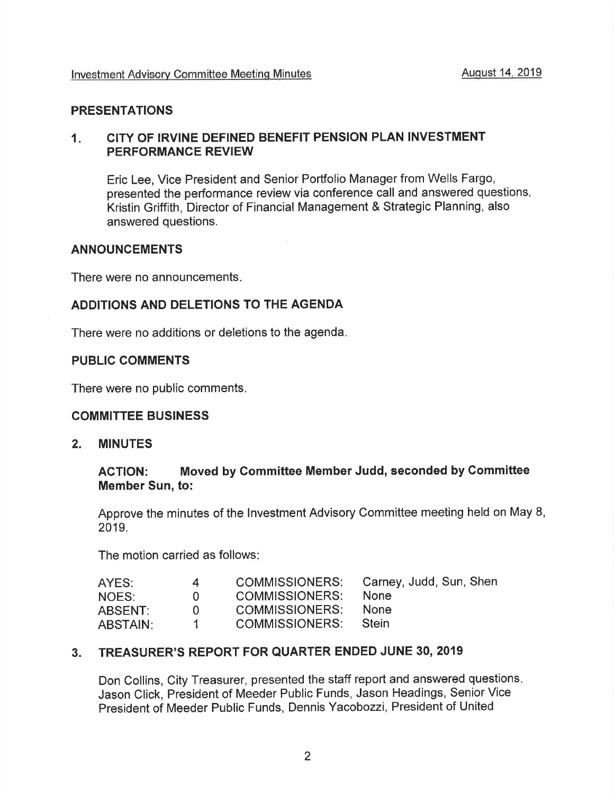#### PRESENTATIONS

#### $1<sub>1</sub>$ CITY OF IRVINE DEFINED BENEFIT PENSION PLAN INVESTMENT PERFORMANCE REVIEW

Eric Lee, Vice President and Senior Portfolio Manager from Wells Fargo, presented the performance review via conference call and answered questions Kristin Griffith, Director of Financial Management & Strategic Planning, also answered questions.

#### ANNOUNCEMENTS

There were no announcements

#### ADDITIONS AND DELETIONS TO THE AGENDA

There were no additions or deletions to the agenda

#### PUBLIC COMMENTS

There were no public comments

#### COMMITTEE BUSINESS

2. MINUTES

#### ACTION: Moved by Committee Member Judd, seconded by Gommittee Member Sun, to:

Approve the minutes of the Investment Advisory Committee meeting held on May 8, 2019.

The motion carried as follows

| AYES:           | 4            | <b>COMMISSIONERS:</b> | Carney, Judd, Sun, Shen |
|-----------------|--------------|-----------------------|-------------------------|
| NOES:           | $\mathbf{u}$ | <b>COMMISSIONERS:</b> | <b>None</b>             |
| ABSENT:         | $\mathbf{U}$ | COMMISSIONERS:        | <b>None</b>             |
| <b>ABSTAIN:</b> |              | <b>COMMISSIONERS:</b> | <b>Stein</b>            |

#### 3. TREASURER'S REPORT FOR QUARTER ENDED JUNE 30, 2019

Don Collins, City Treasurer, presented the staff report and answered questions Jason Click, President of Meeder Public Funds, Jason Headings, Senior Vice President of Meeder Public Funds, Dennis Yacobozzi, President of United